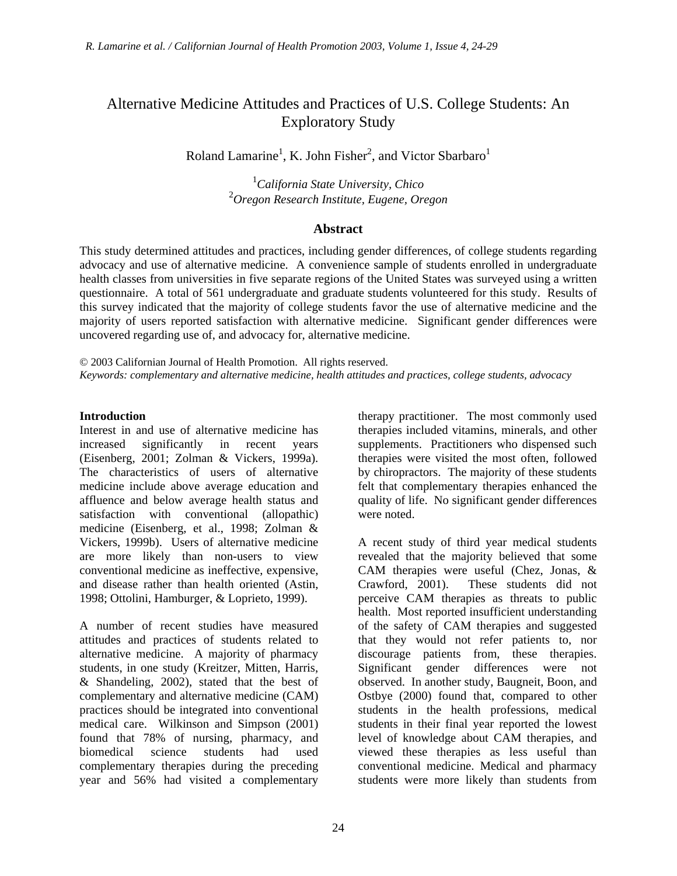# Alternative Medicine Attitudes and Practices of U.S. College Students: An Exploratory Study

Roland Lamarine<sup>1</sup>, K. John Fisher<sup>2</sup>, and Victor Sbarbaro<sup>1</sup>

1 *California State University, Chico*  2 *Oregon Research Institute, Eugene, Oregon* 

### **Abstract**

This study determined attitudes and practices, including gender differences, of college students regarding advocacy and use of alternative medicine. A convenience sample of students enrolled in undergraduate health classes from universities in five separate regions of the United States was surveyed using a written questionnaire. A total of 561 undergraduate and graduate students volunteered for this study. Results of this survey indicated that the majority of college students favor the use of alternative medicine and the majority of users reported satisfaction with alternative medicine. Significant gender differences were uncovered regarding use of, and advocacy for, alternative medicine.

© 2003 Californian Journal of Health Promotion. All rights reserved. *Keywords: complementary and alternative medicine, health attitudes and practices, college students, advocacy* 

### **Introduction**

Interest in and use of alternative medicine has increased significantly in recent years (Eisenberg, 2001; Zolman & Vickers, 1999a). The characteristics of users of alternative medicine include above average education and affluence and below average health status and satisfaction with conventional (allopathic) medicine (Eisenberg, et al., 1998; Zolman & Vickers, 1999b). Users of alternative medicine are more likely than non-users to view conventional medicine as ineffective, expensive, and disease rather than health oriented (Astin, 1998; Ottolini, Hamburger, & Loprieto, 1999).

A number of recent studies have measured attitudes and practices of students related to alternative medicine. A majority of pharmacy students, in one study (Kreitzer, Mitten, Harris, & Shandeling, 2002), stated that the best of complementary and alternative medicine (CAM) practices should be integrated into conventional medical care. Wilkinson and Simpson (2001) found that 78% of nursing, pharmacy, and biomedical science students had used complementary therapies during the preceding year and 56% had visited a complementary

therapy practitioner. The most commonly used therapies included vitamins, minerals, and other supplements. Practitioners who dispensed such therapies were visited the most often, followed by chiropractors. The majority of these students felt that complementary therapies enhanced the quality of life. No significant gender differences were noted.

A recent study of third year medical students revealed that the majority believed that some CAM therapies were useful (Chez, Jonas, & These students did not perceive CAM therapies as threats to public health. Most reported insufficient understanding of the safety of CAM therapies and suggested that they would not refer patients to, nor discourage patients from, these therapies. Significant gender differences were not observed. In another study, Baugneit, Boon, and Ostbye (2000) found that, compared to other students in the health professions, medical students in their final year reported the lowest level of knowledge about CAM therapies, and viewed these therapies as less useful than conventional medicine. Medical and pharmacy students were more likely than students from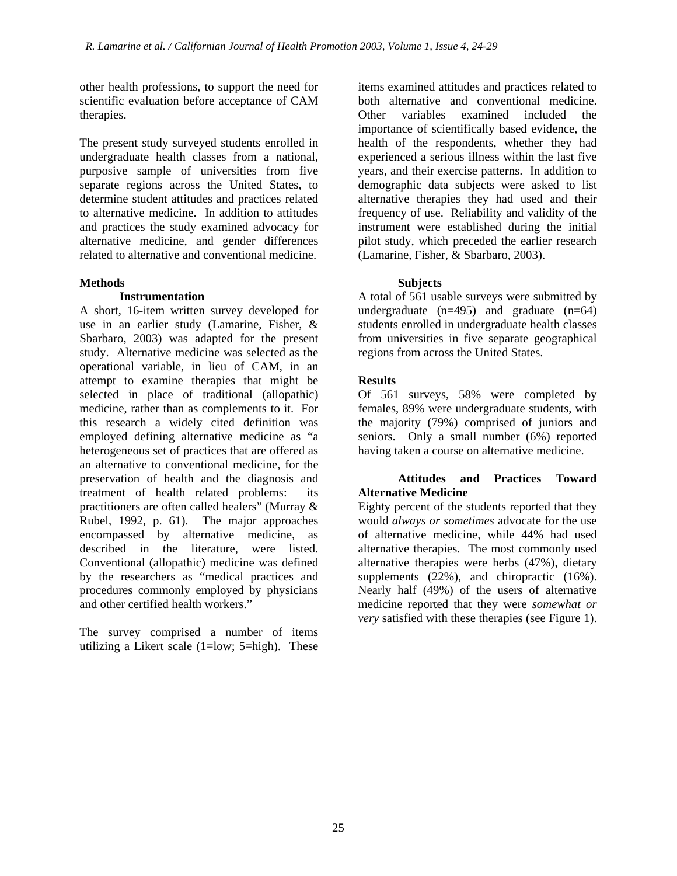other health professions, to support the need for scientific evaluation before acceptance of CAM therapies.

The present study surveyed students enrolled in undergraduate health classes from a national, purposive sample of universities from five separate regions across the United States, to determine student attitudes and practices related to alternative medicine. In addition to attitudes and practices the study examined advocacy for alternative medicine, and gender differences related to alternative and conventional medicine.

### **Methods**

### **Instrumentation**

A short, 16-item written survey developed for use in an earlier study (Lamarine, Fisher, & Sbarbaro, 2003) was adapted for the present study. Alternative medicine was selected as the operational variable, in lieu of CAM, in an attempt to examine therapies that might be selected in place of traditional (allopathic) medicine, rather than as complements to it. For this research a widely cited definition was employed defining alternative medicine as "a heterogeneous set of practices that are offered as an alternative to conventional medicine, for the preservation of health and the diagnosis and treatment of health related problems: its practitioners are often called healers" (Murray & Rubel, 1992, p. 61). The major approaches encompassed by alternative medicine, as described in the literature, were listed. Conventional (allopathic) medicine was defined by the researchers as "medical practices and procedures commonly employed by physicians and other certified health workers."

The survey comprised a number of items utilizing a Likert scale (1=low; 5=high). These

items examined attitudes and practices related to both alternative and conventional medicine. Other variables examined included the importance of scientifically based evidence, the health of the respondents, whether they had experienced a serious illness within the last five years, and their exercise patterns. In addition to demographic data subjects were asked to list alternative therapies they had used and their frequency of use. Reliability and validity of the instrument were established during the initial pilot study, which preceded the earlier research (Lamarine, Fisher, & Sbarbaro, 2003).

### **Subjects**

A total of 561 usable surveys were submitted by undergraduate  $(n=495)$  and graduate  $(n=64)$ students enrolled in undergraduate health classes from universities in five separate geographical regions from across the United States.

### **Results**

Of 561 surveys, 58% were completed by females, 89% were undergraduate students, with the majority (79%) comprised of juniors and seniors. Only a small number (6%) reported having taken a course on alternative medicine.

### **Attitudes and Practices Toward Alternative Medicine**

Eighty percent of the students reported that they would *always or sometimes* advocate for the use of alternative medicine, while 44% had used alternative therapies. The most commonly used alternative therapies were herbs (47%), dietary supplements (22%), and chiropractic (16%). Nearly half (49%) of the users of alternative medicine reported that they were *somewhat or very* satisfied with these therapies (see Figure 1).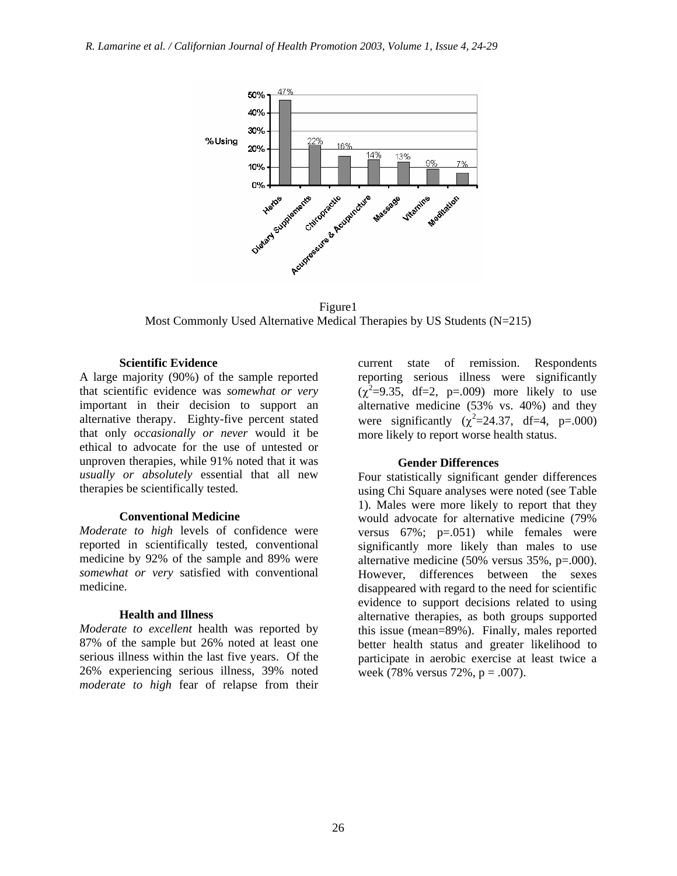

Figure1 Most Commonly Used Alternative Medical Therapies by US Students (N=215)

#### **Scientific Evidence**

A large majority (90%) of the sample reported that scientific evidence was *somewhat or very* important in their decision to support an alternative therapy. Eighty-five percent stated that only *occasionally or never* would it be ethical to advocate for the use of untested or unproven therapies, while 91% noted that it was *usually or absolutely* essential that all new therapies be scientifically tested.

#### **Conventional Medicine**

*Moderate to high* levels of confidence were reported in scientifically tested, conventional medicine by 92% of the sample and 89% were *somewhat or very* satisfied with conventional medicine.

#### **Health and Illness**

*Moderate to excellent* health was reported by 87% of the sample but 26% noted at least one serious illness within the last five years. Of the 26% experiencing serious illness, 39% noted *moderate to high* fear of relapse from their current state of remission. Respondents reporting serious illness were significantly  $(\chi^2=9.35, df=2, p=.009)$  more likely to use alternative medicine (53% vs. 40%) and they were significantly  $(\chi^2=24.37, df=4, p=.000)$ more likely to report worse health status.

#### **Gender Differences**

Four statistically significant gender differences using Chi Square analyses were noted (see Table 1). Males were more likely to report that they would advocate for alternative medicine (79% versus  $67\%$ ;  $p=.051$ ) while females were significantly more likely than males to use alternative medicine (50% versus 35%, p=.000). However, differences between the sexes disappeared with regard to the need for scientific evidence to support decisions related to using alternative therapies, as both groups supported this issue (mean=89%). Finally, males reported better health status and greater likelihood to participate in aerobic exercise at least twice a week (78% versus 72%,  $p = .007$ ).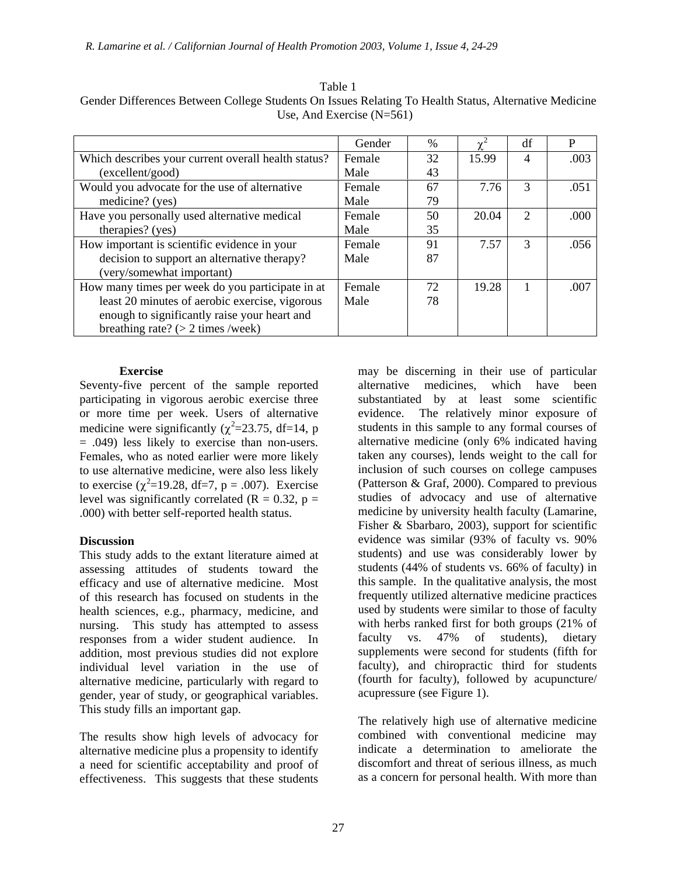|                                                     | Gender | $\%$ | $\mathbf{v}^2$ | df                          | P    |
|-----------------------------------------------------|--------|------|----------------|-----------------------------|------|
| Which describes your current overall health status? | Female | 32   | 15.99          | 4                           | .003 |
| (excellent/good)                                    | Male   | 43   |                |                             |      |
| Would you advocate for the use of alternative       | Female | 67   | 7.76           | 3                           | .051 |
| medicine? (yes)                                     | Male   | 79   |                |                             |      |
| Have you personally used alternative medical        | Female | 50   | 20.04          | $\mathcal{D}_{\mathcal{L}}$ | .000 |
| therapies? (yes)                                    | Male   | 35   |                |                             |      |
| How important is scientific evidence in your        | Female | 91   | 7.57           | $\mathcal{R}$               | .056 |
| decision to support an alternative therapy?         | Male   | 87   |                |                             |      |
| (very/somewhat important)                           |        |      |                |                             |      |
| How many times per week do you participate in at    | Female | 72   | 19.28          |                             | .007 |
| least 20 minutes of aerobic exercise, vigorous      | Male   | 78   |                |                             |      |
| enough to significantly raise your heart and        |        |      |                |                             |      |
| breathing rate? $(> 2 \times 2)$                    |        |      |                |                             |      |

Table 1 Gender Differences Between College Students On Issues Relating To Health Status, Alternative Medicine Use, And Exercise (N=561)

### **Exercise**

Seventy-five percent of the sample reported participating in vigorous aerobic exercise three or more time per week. Users of alternative medicine were significantly ( $\chi^2$ =23.75, df=14, p = .049) less likely to exercise than non-users. Females, who as noted earlier were more likely to use alternative medicine, were also less likely to exercise ( $\chi^2$ =19.28, df=7, p = .007). Exercise level was significantly correlated ( $R = 0.32$ ,  $p =$ .000) with better self-reported health status.

### **Discussion**

This study adds to the extant literature aimed at assessing attitudes of students toward the efficacy and use of alternative medicine. Most of this research has focused on students in the health sciences, e.g., pharmacy, medicine, and nursing. This study has attempted to assess responses from a wider student audience. In addition, most previous studies did not explore individual level variation in the use of alternative medicine, particularly with regard to gender, year of study, or geographical variables. This study fills an important gap.

The results show high levels of advocacy for alternative medicine plus a propensity to identify a need for scientific acceptability and proof of effectiveness. This suggests that these students

may be discerning in their use of particular alternative medicines, which have been substantiated by at least some scientific evidence. The relatively minor exposure of students in this sample to any formal courses of alternative medicine (only 6% indicated having taken any courses), lends weight to the call for inclusion of such courses on college campuses (Patterson & Graf, 2000). Compared to previous studies of advocacy and use of alternative medicine by university health faculty (Lamarine, Fisher & Sbarbaro, 2003), support for scientific evidence was similar (93% of faculty vs. 90% students) and use was considerably lower by students (44% of students vs. 66% of faculty) in this sample. In the qualitative analysis, the most frequently utilized alternative medicine practices used by students were similar to those of faculty with herbs ranked first for both groups (21% of faculty vs. 47% of students), dietary supplements were second for students (fifth for faculty), and chiropractic third for students (fourth for faculty), followed by acupuncture/ acupressure (see Figure 1).

The relatively high use of alternative medicine combined with conventional medicine may indicate a determination to ameliorate the discomfort and threat of serious illness, as much as a concern for personal health. With more than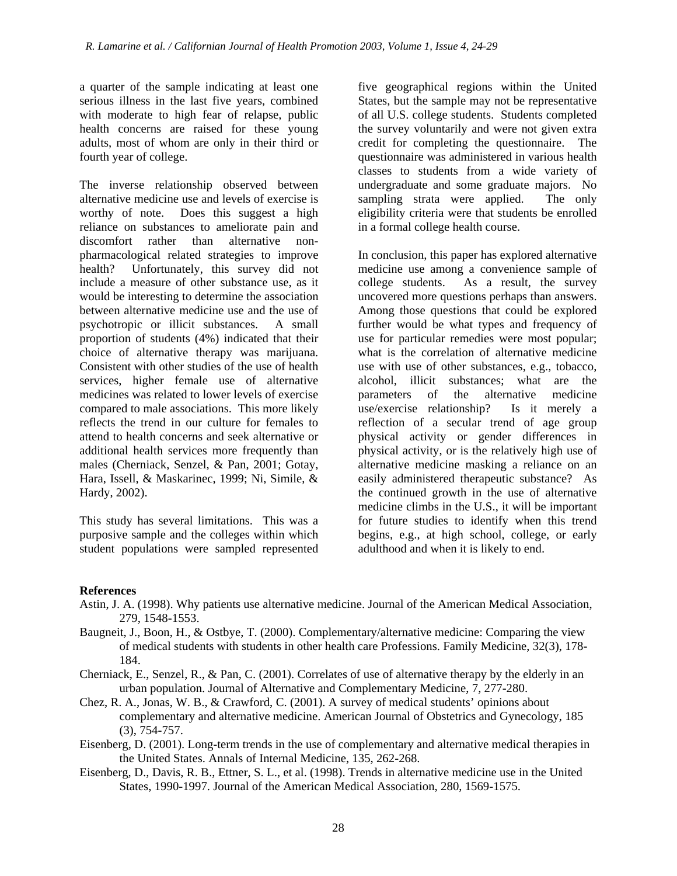a quarter of the sample indicating at least one serious illness in the last five years, combined with moderate to high fear of relapse, public health concerns are raised for these young adults, most of whom are only in their third or fourth year of college.

The inverse relationship observed between alternative medicine use and levels of exercise is worthy of note. Does this suggest a high reliance on substances to ameliorate pain and discomfort rather than alternative nonpharmacological related strategies to improve health? Unfortunately, this survey did not include a measure of other substance use, as it would be interesting to determine the association between alternative medicine use and the use of psychotropic or illicit substances. A small proportion of students (4%) indicated that their choice of alternative therapy was marijuana. Consistent with other studies of the use of health services, higher female use of alternative medicines was related to lower levels of exercise compared to male associations. This more likely reflects the trend in our culture for females to attend to health concerns and seek alternative or additional health services more frequently than males (Cherniack, Senzel, & Pan, 2001; Gotay, Hara, Issell, & Maskarinec, 1999; Ni, Simile, & Hardy, 2002).

This study has several limitations. This was a purposive sample and the colleges within which student populations were sampled represented five geographical regions within the United States, but the sample may not be representative of all U.S. college students. Students completed the survey voluntarily and were not given extra credit for completing the questionnaire. The questionnaire was administered in various health classes to students from a wide variety of undergraduate and some graduate majors. No sampling strata were applied. The only eligibility criteria were that students be enrolled in a formal college health course.

In conclusion, this paper has explored alternative medicine use among a convenience sample of college students. As a result, the survey uncovered more questions perhaps than answers. Among those questions that could be explored further would be what types and frequency of use for particular remedies were most popular; what is the correlation of alternative medicine use with use of other substances, e.g., tobacco, alcohol, illicit substances; what are the parameters of the alternative medicine use/exercise relationship? Is it merely a reflection of a secular trend of age group physical activity or gender differences in physical activity, or is the relatively high use of alternative medicine masking a reliance on an easily administered therapeutic substance? As the continued growth in the use of alternative medicine climbs in the U.S., it will be important for future studies to identify when this trend begins, e.g., at high school, college, or early adulthood and when it is likely to end.

## **References**

- Astin, J. A. (1998). Why patients use alternative medicine. Journal of the American Medical Association, 279, 1548-1553.
- Baugneit, J., Boon, H., & Ostbye, T. (2000). Complementary/alternative medicine: Comparing the view of medical students with students in other health care Professions. Family Medicine, 32(3), 178- 184.
- Cherniack, E., Senzel, R., & Pan, C. (2001). Correlates of use of alternative therapy by the elderly in an urban population. Journal of Alternative and Complementary Medicine, 7, 277-280.
- Chez, R. A., Jonas, W. B., & Crawford, C. (2001). A survey of medical students' opinions about complementary and alternative medicine. American Journal of Obstetrics and Gynecology, 185 (3), 754-757.
- Eisenberg, D. (2001). Long-term trends in the use of complementary and alternative medical therapies in the United States. Annals of Internal Medicine, 135, 262-268.
- Eisenberg, D., Davis, R. B., Ettner, S. L., et al. (1998). Trends in alternative medicine use in the United States, 1990-1997. Journal of the American Medical Association, 280, 1569-1575.